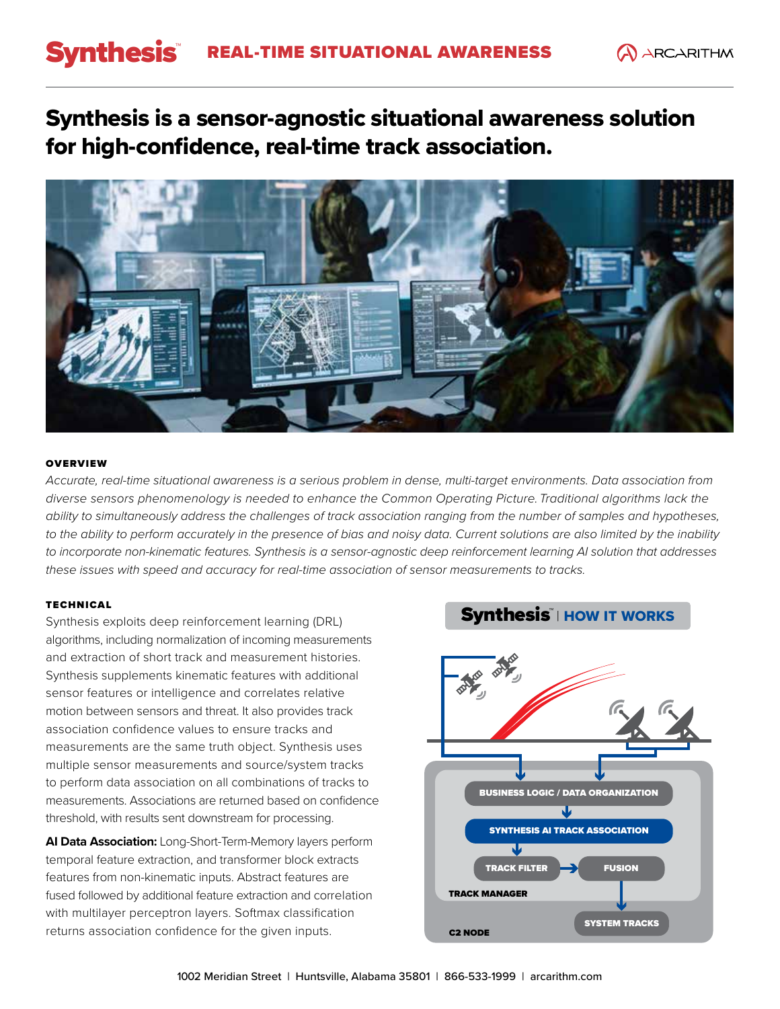## Synthesis REAL-TIME SITUATIONAL AWARENESS A ARCARITHM

Synthesis is a sensor-agnostic situational awareness solution for high-confidence, real-time track association.



## **OVERVIEW**

*Accurate, real-time situational awareness is a serious problem in dense, multi-target environments. Data association from diverse sensors phenomenology is needed to enhance the Common Operating Picture. Traditional algorithms lack the ability to simultaneously address the challenges of track association ranging from the number of samples and hypotheses,*  to the ability to perform accurately in the presence of bias and noisy data. Current solutions are also limited by the inability *to incorporate non-kinematic features. Synthesis is a sensor-agnostic deep reinforcement learning AI solution that addresses these issues with speed and accuracy for real-time association of sensor measurements to tracks.*

### TECHNICAL

Synthesis exploits deep reinforcement learning (DRL) algorithms, including normalization of incoming measurements and extraction of short track and measurement histories. Synthesis supplements kinematic features with additional sensor features or intelligence and correlates relative motion between sensors and threat. It also provides track association confidence values to ensure tracks and measurements are the same truth object. Synthesis uses multiple sensor measurements and source/system tracks to perform data association on all combinations of tracks to measurements. Associations are returned based on confidence threshold, with results sent downstream for processing.

**AI Data Association:** Long-Short-Term-Memory layers perform temporal feature extraction, and transformer block extracts features from non-kinematic inputs. Abstract features are fused followed by additional feature extraction and correlation with multilayer perceptron layers. Softmax classification returns association confidence for the given inputs.